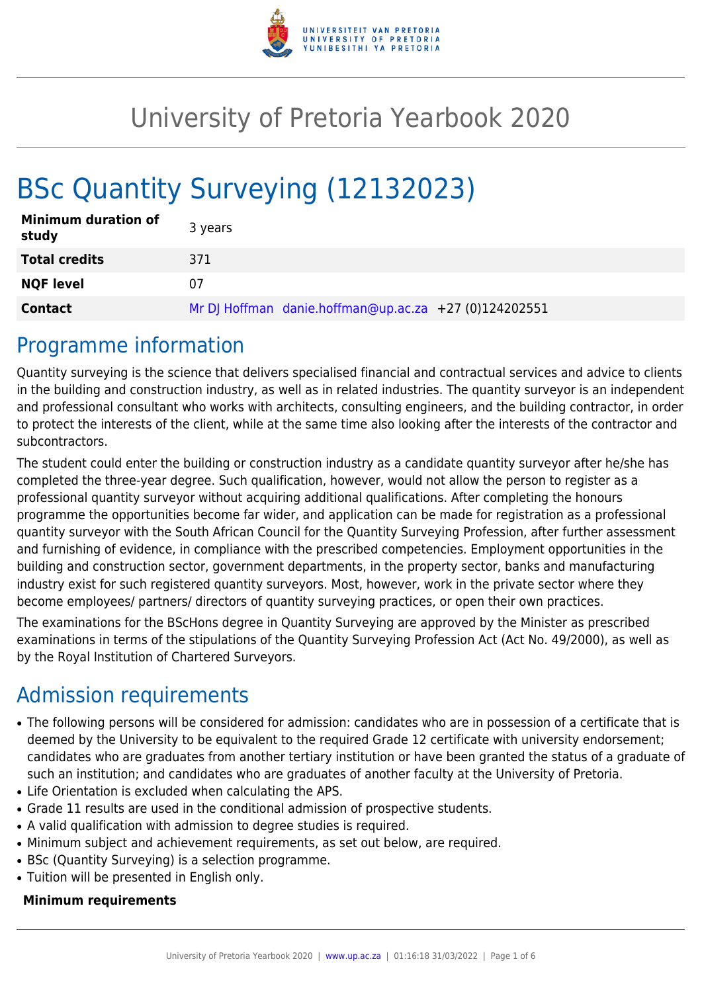

## University of Pretoria Yearbook 2020

# BSc Quantity Surveying (12132023)

| <b>Minimum duration of</b><br>study | 3 years                                               |
|-------------------------------------|-------------------------------------------------------|
| <b>Total credits</b>                | 371                                                   |
| <b>NQF level</b>                    | 07                                                    |
| <b>Contact</b>                      | Mr DJ Hoffman danie.hoffman@up.ac.za +27 (0)124202551 |

### Programme information

Quantity surveying is the science that delivers specialised financial and contractual services and advice to clients in the building and construction industry, as well as in related industries. The quantity surveyor is an independent and professional consultant who works with architects, consulting engineers, and the building contractor, in order to protect the interests of the client, while at the same time also looking after the interests of the contractor and subcontractors.

The student could enter the building or construction industry as a candidate quantity surveyor after he/she has completed the three-year degree. Such qualification, however, would not allow the person to register as a professional quantity surveyor without acquiring additional qualifications. After completing the honours programme the opportunities become far wider, and application can be made for registration as a professional quantity surveyor with the South African Council for the Quantity Surveying Profession, after further assessment and furnishing of evidence, in compliance with the prescribed competencies. Employment opportunities in the building and construction sector, government departments, in the property sector, banks and manufacturing industry exist for such registered quantity surveyors. Most, however, work in the private sector where they become employees/ partners/ directors of quantity surveying practices, or open their own practices.

The examinations for the BScHons degree in Quantity Surveying are approved by the Minister as prescribed examinations in terms of the stipulations of the Quantity Surveying Profession Act (Act No. 49/2000), as well as by the Royal Institution of Chartered Surveyors.

### Admission requirements

- The following persons will be considered for admission: candidates who are in possession of a certificate that is deemed by the University to be equivalent to the required Grade 12 certificate with university endorsement; candidates who are graduates from another tertiary institution or have been granted the status of a graduate of such an institution; and candidates who are graduates of another faculty at the University of Pretoria.
- Life Orientation is excluded when calculating the APS.
- Grade 11 results are used in the conditional admission of prospective students.
- A valid qualification with admission to degree studies is required.
- Minimum subject and achievement requirements, as set out below, are required.
- BSc (Quantity Surveying) is a selection programme.
- Tuition will be presented in English only.

#### **Minimum requirements**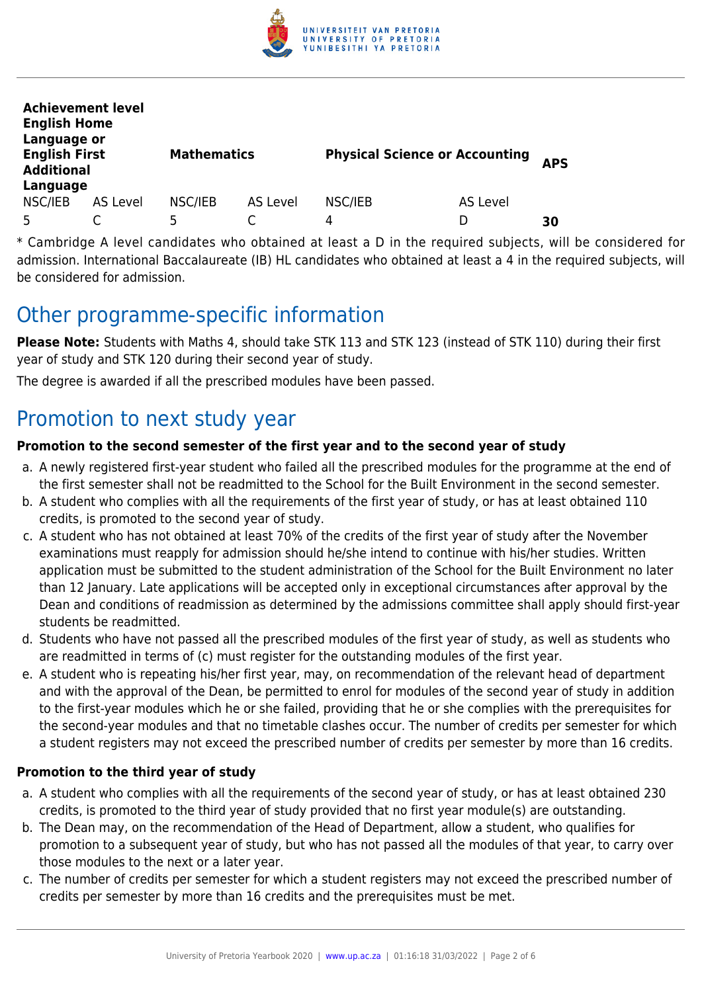

| <b>Achievement level</b><br><b>English Home</b><br>Language or |                 |                    |          |                                       |          |            |  |
|----------------------------------------------------------------|-----------------|--------------------|----------|---------------------------------------|----------|------------|--|
| <b>English First</b><br><b>Additional</b>                      |                 | <b>Mathematics</b> |          | <b>Physical Science or Accounting</b> |          | <b>APS</b> |  |
| Language                                                       |                 |                    |          |                                       |          |            |  |
| NSC/IEB                                                        | <b>AS Level</b> | NSC/IEB            | AS Level | NSC/IEB                               | AS Level |            |  |
| 5                                                              |                 | 5                  |          | 4                                     |          | 30         |  |

\* Cambridge A level candidates who obtained at least a D in the required subjects, will be considered for admission. International Baccalaureate (IB) HL candidates who obtained at least a 4 in the required subjects, will be considered for admission.

### Other programme-specific information

**Please Note:** Students with Maths 4, should take STK 113 and STK 123 (instead of STK 110) during their first year of study and STK 120 during their second year of study.

The degree is awarded if all the prescribed modules have been passed.

### Promotion to next study year

#### **Promotion to the second semester of the first year and to the second year of study**

- a. A newly registered first-year student who failed all the prescribed modules for the programme at the end of the first semester shall not be readmitted to the School for the Built Environment in the second semester.
- b. A student who complies with all the requirements of the first year of study, or has at least obtained 110 credits, is promoted to the second year of study.
- c. A student who has not obtained at least 70% of the credits of the first year of study after the November examinations must reapply for admission should he/she intend to continue with his/her studies. Written application must be submitted to the student administration of the School for the Built Environment no later than 12 January. Late applications will be accepted only in exceptional circumstances after approval by the Dean and conditions of readmission as determined by the admissions committee shall apply should first-year students be readmitted.
- d. Students who have not passed all the prescribed modules of the first year of study, as well as students who are readmitted in terms of (c) must register for the outstanding modules of the first year.
- e. A student who is repeating his/her first year, may, on recommendation of the relevant head of department and with the approval of the Dean, be permitted to enrol for modules of the second year of study in addition to the first-year modules which he or she failed, providing that he or she complies with the prerequisites for the second-year modules and that no timetable clashes occur. The number of credits per semester for which a student registers may not exceed the prescribed number of credits per semester by more than 16 credits.

#### **Promotion to the third year of study**

- a. A student who complies with all the requirements of the second year of study, or has at least obtained 230 credits, is promoted to the third year of study provided that no first year module(s) are outstanding.
- b. The Dean may, on the recommendation of the Head of Department, allow a student, who qualifies for promotion to a subsequent year of study, but who has not passed all the modules of that year, to carry over those modules to the next or a later year.
- c. The number of credits per semester for which a student registers may not exceed the prescribed number of credits per semester by more than 16 credits and the prerequisites must be met.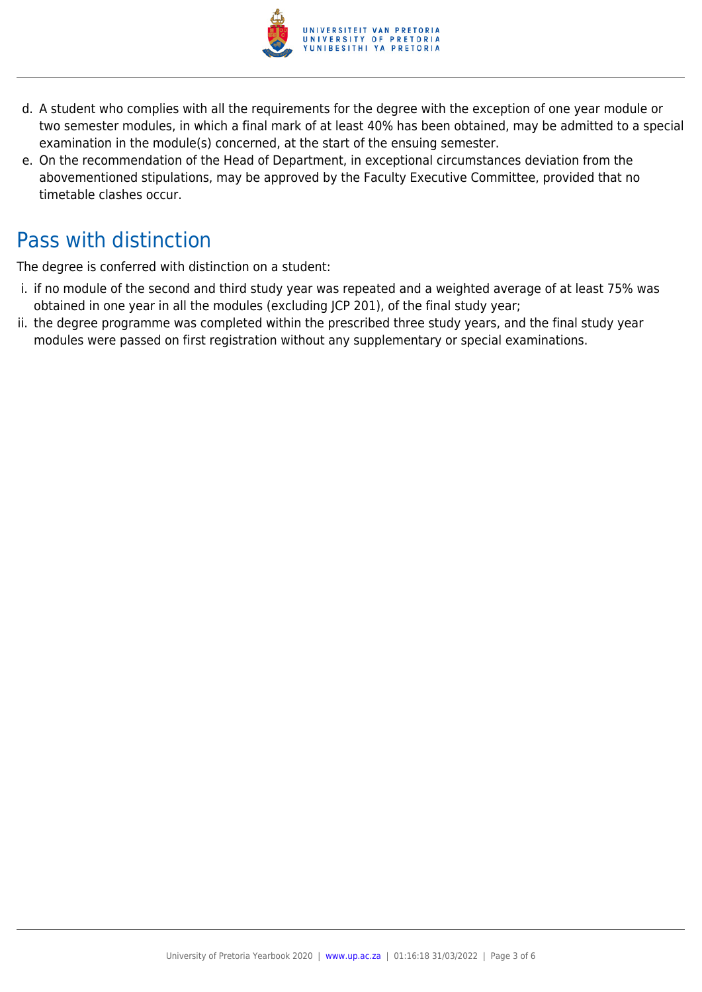

- d. A student who complies with all the requirements for the degree with the exception of one year module or two semester modules, in which a final mark of at least 40% has been obtained, may be admitted to a special examination in the module(s) concerned, at the start of the ensuing semester.
- e. On the recommendation of the Head of Department, in exceptional circumstances deviation from the abovementioned stipulations, may be approved by the Faculty Executive Committee, provided that no timetable clashes occur.

### Pass with distinction

The degree is conferred with distinction on a student:

- i. if no module of the second and third study year was repeated and a weighted average of at least 75% was obtained in one year in all the modules (excluding JCP 201), of the final study year;
- ii. the degree programme was completed within the prescribed three study years, and the final study year modules were passed on first registration without any supplementary or special examinations.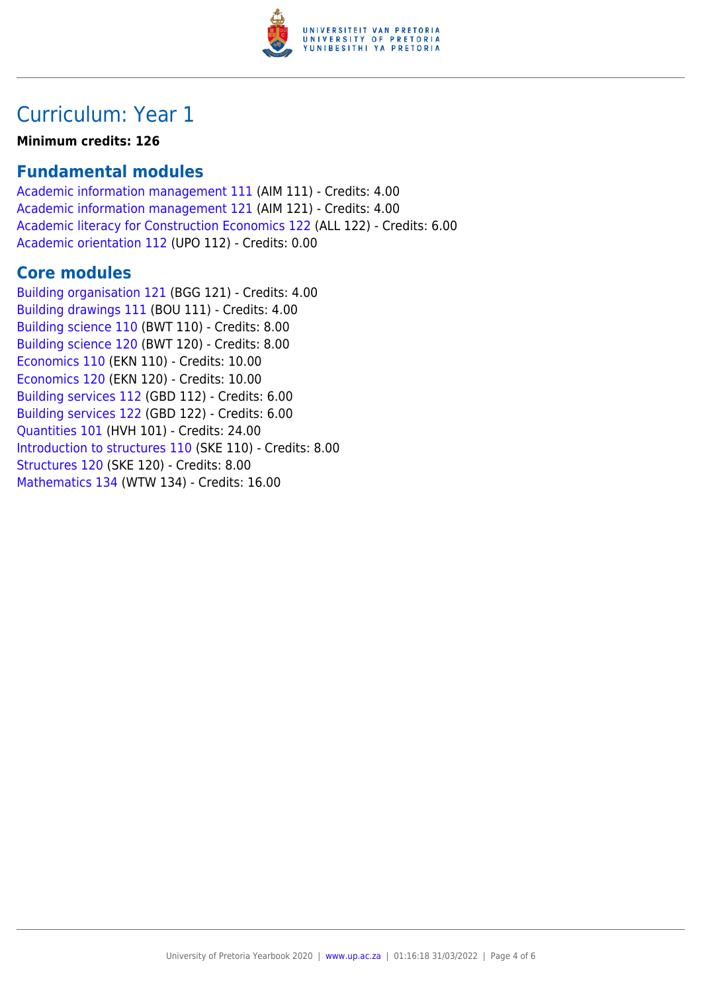

### Curriculum: Year 1

**Minimum credits: 126**

### **Fundamental modules**

[Academic information management 111](https://www.up.ac.za/yearbooks/2020/modules/view/AIM 111) (AIM 111) - Credits: 4.00 [Academic information management 121](https://www.up.ac.za/yearbooks/2020/modules/view/AIM 121) (AIM 121) - Credits: 4.00 [Academic literacy for Construction Economics 122](https://www.up.ac.za/yearbooks/2020/modules/view/ALL 122) (ALL 122) - Credits: 6.00 [Academic orientation 112](https://www.up.ac.za/yearbooks/2020/modules/view/UPO 112) (UPO 112) - Credits: 0.00

#### **Core modules**

[Building organisation 121](https://www.up.ac.za/yearbooks/2020/modules/view/BGG 121) (BGG 121) - Credits: 4.00 [Building drawings 111](https://www.up.ac.za/yearbooks/2020/modules/view/BOU 111) (BOU 111) - Credits: 4.00 [Building science 110](https://www.up.ac.za/yearbooks/2020/modules/view/BWT 110) (BWT 110) - Credits: 8.00 [Building science 120](https://www.up.ac.za/yearbooks/2020/modules/view/BWT 120) (BWT 120) - Credits: 8.00 [Economics 110](https://www.up.ac.za/yearbooks/2020/modules/view/EKN 110) (EKN 110) - Credits: 10.00 [Economics 120](https://www.up.ac.za/yearbooks/2020/modules/view/EKN 120) (EKN 120) - Credits: 10.00 [Building services 112](https://www.up.ac.za/yearbooks/2020/modules/view/GBD 112) (GBD 112) - Credits: 6.00 [Building services 122](https://www.up.ac.za/yearbooks/2020/modules/view/GBD 122) (GBD 122) - Credits: 6.00 [Quantities 101](https://www.up.ac.za/yearbooks/2020/modules/view/HVH 101) (HVH 101) - Credits: 24.00 [Introduction to structures 110](https://www.up.ac.za/yearbooks/2020/modules/view/SKE 110) (SKE 110) - Credits: 8.00 [Structures 120](https://www.up.ac.za/yearbooks/2020/modules/view/SKE 120) (SKE 120) - Credits: 8.00 [Mathematics 134](https://www.up.ac.za/yearbooks/2020/modules/view/WTW 134) (WTW 134) - Credits: 16.00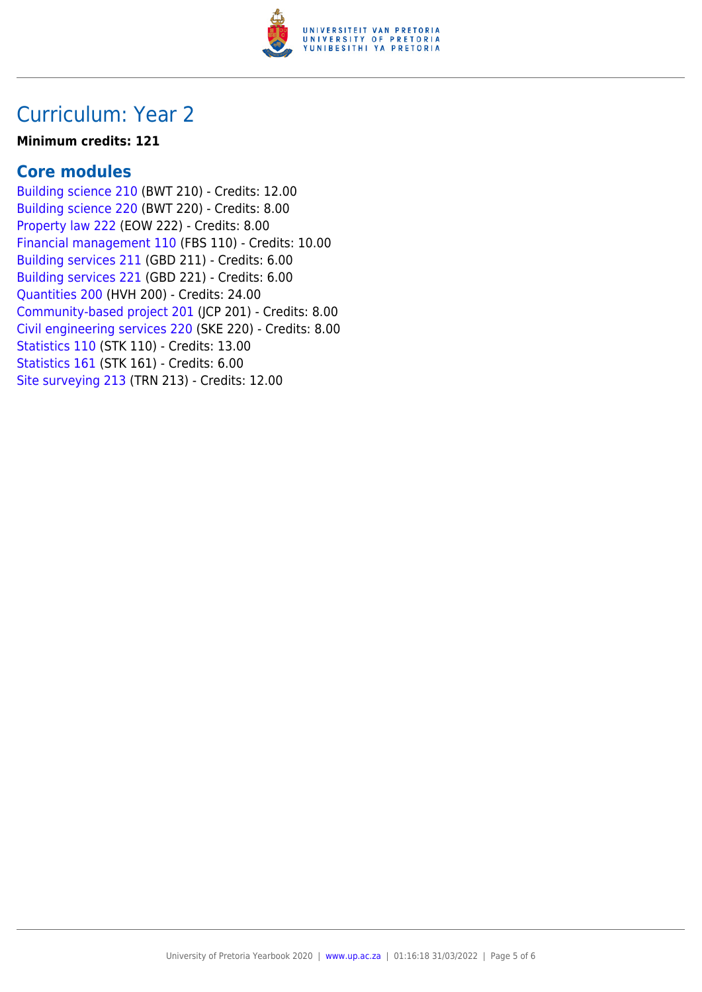

### Curriculum: Year 2

#### **Minimum credits: 121**

#### **Core modules**

[Building science 210](https://www.up.ac.za/yearbooks/2020/modules/view/BWT 210) (BWT 210) - Credits: 12.00 [Building science 220](https://www.up.ac.za/yearbooks/2020/modules/view/BWT 220) (BWT 220) - Credits: 8.00 [Property law 222](https://www.up.ac.za/yearbooks/2020/modules/view/EOW 222) (EOW 222) - Credits: 8.00 [Financial management 110](https://www.up.ac.za/yearbooks/2020/modules/view/FBS 110) (FBS 110) - Credits: 10.00 [Building services 211](https://www.up.ac.za/yearbooks/2020/modules/view/GBD 211) (GBD 211) - Credits: 6.00 [Building services 221](https://www.up.ac.za/yearbooks/2020/modules/view/GBD 221) (GBD 221) - Credits: 6.00 [Quantities 200](https://www.up.ac.za/yearbooks/2020/modules/view/HVH 200) (HVH 200) - Credits: 24.00 [Community-based project 201](https://www.up.ac.za/yearbooks/2020/modules/view/JCP 201) (JCP 201) - Credits: 8.00 [Civil engineering services 220](https://www.up.ac.za/yearbooks/2020/modules/view/SKE 220) (SKE 220) - Credits: 8.00 [Statistics 110](https://www.up.ac.za/yearbooks/2020/modules/view/STK 110) (STK 110) - Credits: 13.00 [Statistics 161](https://www.up.ac.za/yearbooks/2020/modules/view/STK 161) (STK 161) - Credits: 6.00 [Site surveying 213](https://www.up.ac.za/yearbooks/2020/modules/view/TRN 213) (TRN 213) - Credits: 12.00